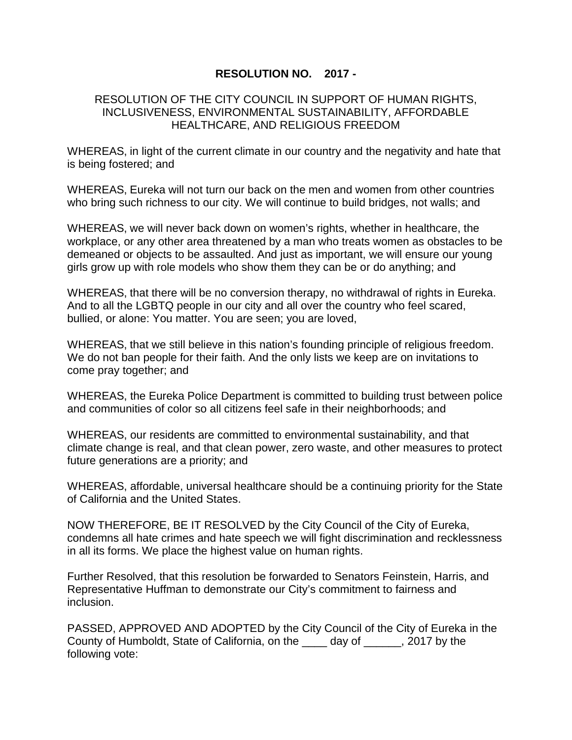## **RESOLUTION NO. 2017 -**

## RESOLUTION OF THE CITY COUNCIL IN SUPPORT OF HUMAN RIGHTS, INCLUSIVENESS, ENVIRONMENTAL SUSTAINABILITY, AFFORDABLE HEALTHCARE, AND RELIGIOUS FREEDOM

WHEREAS, in light of the current climate in our country and the negativity and hate that is being fostered; and

WHEREAS, Eureka will not turn our back on the men and women from other countries who bring such richness to our city. We will continue to build bridges, not walls; and

WHEREAS, we will never back down on women's rights, whether in healthcare, the workplace, or any other area threatened by a man who treats women as obstacles to be demeaned or objects to be assaulted. And just as important, we will ensure our young girls grow up with role models who show them they can be or do anything; and

WHEREAS, that there will be no conversion therapy, no withdrawal of rights in Eureka. And to all the LGBTQ people in our city and all over the country who feel scared, bullied, or alone: You matter. You are seen; you are loved,

WHEREAS, that we still believe in this nation's founding principle of religious freedom. We do not ban people for their faith. And the only lists we keep are on invitations to come pray together; and

WHEREAS, the Eureka Police Department is committed to building trust between police and communities of color so all citizens feel safe in their neighborhoods; and

WHEREAS, our residents are committed to environmental sustainability, and that climate change is real, and that clean power, zero waste, and other measures to protect future generations are a priority; and

WHEREAS, affordable, universal healthcare should be a continuing priority for the State of California and the United States.

NOW THEREFORE, BE IT RESOLVED by the City Council of the City of Eureka, condemns all hate crimes and hate speech we will fight discrimination and recklessness in all its forms. We place the highest value on human rights.

Further Resolved, that this resolution be forwarded to Senators Feinstein, Harris, and Representative Huffman to demonstrate our City's commitment to fairness and inclusion.

PASSED, APPROVED AND ADOPTED by the City Council of the City of Eureka in the County of Humboldt, State of California, on the \_\_\_\_ day of \_\_\_\_\_\_, 2017 by the following vote: